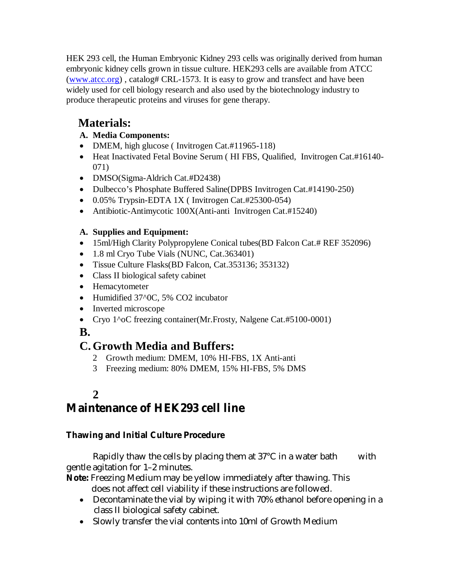HEK 293 cell, the Human Embryonic Kidney 293 cells was originally derived from human embryonic kidney cells grown in tissue culture. HEK293 cells are available from ATCC (www.atcc.org) , catalog# CRL-1573. It is easy to grow and transfect and have been widely used for cell biology research and also used by the biotechnology industry to produce therapeutic proteins and viruses for gene therapy.

# **Materials:**

- **A. Media Components:**
- DMEM, high glucose (Invitrogen Cat.#11965-118)
- Heat Inactivated Fetal Bovine Serum (HI FBS, Qualified, Invitrogen Cat.#16140-071)
- DMSO(Sigma-Aldrich Cat.#D2438)
- Dulbecco's Phosphate Buffered Saline(DPBS Invitrogen Cat.#14190-250)
- $\bullet$  0.05% Trypsin-EDTA 1X (Invitrogen Cat.#25300-054)
- Antibiotic-Antimycotic 100X(Anti-anti Invitrogen Cat.#15240)

#### **A. Supplies and Equipment:**

- 15ml/High Clarity Polypropylene Conical tubes(BD Falcon Cat.# REF 352096)
- 1.8 ml Cryo Tube Vials (NUNC, Cat.363401)
- Tissue Culture Flasks(BD Falcon, Cat.353136; 353132)
- Class II biological safety cabinet
- Hemacytometer
- Humidified 37^0C, 5% CO2 incubator
- Inverted microscope
- Cryo 1^oC freezing container(Mr.Frosty, Nalgene Cat.#5100-0001)

## **B.**

# **C.Growth Media and Buffers:**

- 2 Growth medium: DMEM, 10% HI-FBS, 1X Anti-anti
- 3 Freezing medium: 80% DMEM, 15% HI-FBS, 5% DMS

## **2**

# **Maintenance of HEK293 cell line**

#### **Thawing and Initial Culture Procedure**

Rapidly thaw the cells by placing them at  $37^{\circ}$ C in a water bath with gentle agitation for 1–2 minutes.

**Note:** Freezing Medium may be yellow immediately after thawing. This does not affect cell viability if these instructions are followed.

- Decontaminate the vial by wiping it with 70% ethanol before opening in a class II biological safety cabinet.
- Slowly transfer the vial contents into 10ml of Growth Medium